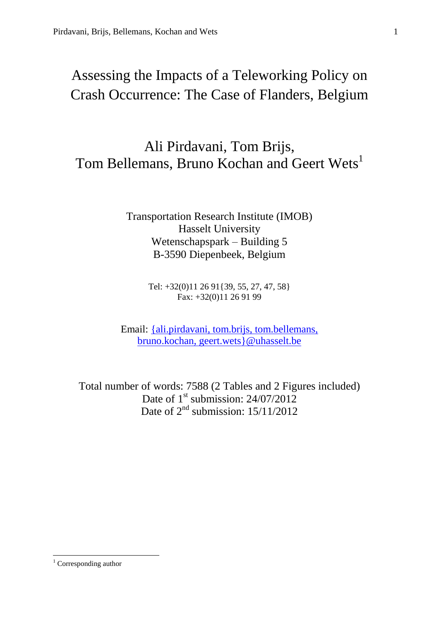# Assessing the Impacts of a Teleworking Policy on Crash Occurrence: The Case of Flanders, Belgium

# Ali Pirdavani, Tom Brijs, Tom Bellemans, Bruno Kochan and Geert Wets<sup>1</sup>

Transportation Research Institute (IMOB) Hasselt University Wetenschapspark – Building 5 B-3590 Diepenbeek, Belgium

> Tel: +32(0)11 26 91{39, 55, 27, 47, 58} Fax: +32(0)11 26 91 99

Email: [{ali.pirdavani, tom.brijs, tom.bellemans,](mailto:ali.pirdavani,%20tom.brijs,%20tom.bellemans,bruno.kochan,%20geert.wets%7D@uhasselt.be) [bruno.kochan, geert.wets}@uhasselt.be](mailto:ali.pirdavani,%20tom.brijs,%20tom.bellemans,bruno.kochan,%20geert.wets%7D@uhasselt.be)

Total number of words: 7588 (2 Tables and 2 Figures included) Date of 1<sup>st</sup> submission: 24/07/2012 Date of  $2<sup>nd</sup>$  submission:  $15/11/2012$ 

**.** 

 $1$  Corresponding author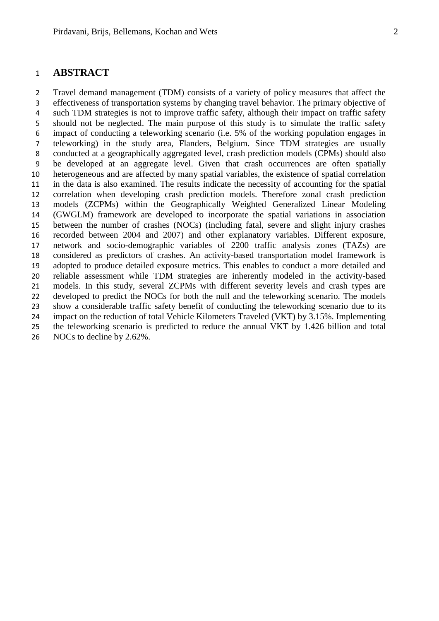# **ABSTRACT**

 Travel demand management (TDM) consists of a variety of policy measures that affect the effectiveness of transportation systems by changing travel behavior. The primary objective of such TDM strategies is not to improve traffic safety, although their impact on traffic safety should not be neglected. The main purpose of this study is to simulate the traffic safety impact of conducting a teleworking scenario (i.e. 5% of the working population engages in teleworking) in the study area, Flanders, Belgium. Since TDM strategies are usually conducted at a geographically aggregated level, crash prediction models (CPMs) should also be developed at an aggregate level. Given that crash occurrences are often spatially heterogeneous and are affected by many spatial variables, the existence of spatial correlation in the data is also examined. The results indicate the necessity of accounting for the spatial correlation when developing crash prediction models. Therefore zonal crash prediction models (ZCPMs) within the Geographically Weighted Generalized Linear Modeling (GWGLM) framework are developed to incorporate the spatial variations in association between the number of crashes (NOCs) (including fatal, severe and slight injury crashes recorded between 2004 and 2007) and other explanatory variables. Different exposure, network and socio-demographic variables of 2200 traffic analysis zones (TAZs) are considered as predictors of crashes. An activity-based transportation model framework is adopted to produce detailed exposure metrics. This enables to conduct a more detailed and reliable assessment while TDM strategies are inherently modeled in the activity-based models. In this study, several ZCPMs with different severity levels and crash types are developed to predict the NOCs for both the null and the teleworking scenario. The models show a considerable traffic safety benefit of conducting the teleworking scenario due to its impact on the reduction of total Vehicle Kilometers Traveled (VKT) by 3.15%. Implementing the teleworking scenario is predicted to reduce the annual VKT by 1.426 billion and total 26 NOCs to decline by 2.62%.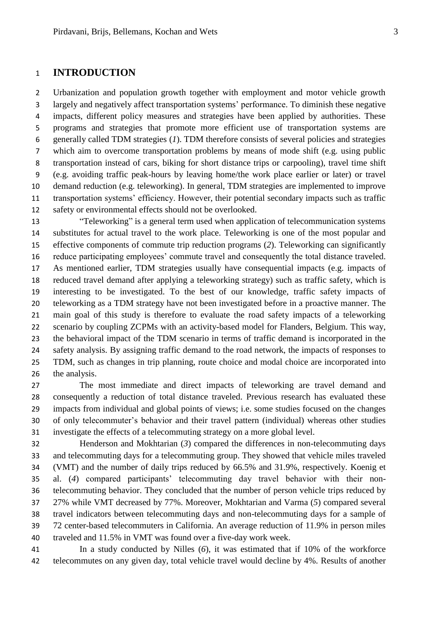# **INTRODUCTION**

 Urbanization and population growth together with employment and motor vehicle growth largely and negatively affect transportation systems' performance. To diminish these negative impacts, different policy measures and strategies have been applied by authorities. These programs and strategies that promote more efficient use of transportation systems are generally called TDM strategies (*1*). TDM therefore consists of several policies and strategies which aim to overcome transportation problems by means of mode shift (e.g. using public transportation instead of cars, biking for short distance trips or carpooling), travel time shift (e.g. avoiding traffic peak-hours by leaving home/the work place earlier or later) or travel demand reduction (e.g. teleworking). In general, TDM strategies are implemented to improve transportation systems' efficiency. However, their potential secondary impacts such as traffic safety or environmental effects should not be overlooked.

 "Teleworking" is a general term used when application of telecommunication systems substitutes for actual travel to the work place. Teleworking is one of the most popular and effective components of commute trip reduction programs (*2*). Teleworking can significantly reduce participating employees' commute travel and consequently the total distance traveled. As mentioned earlier, TDM strategies usually have consequential impacts (e.g. impacts of reduced travel demand after applying a teleworking strategy) such as traffic safety, which is interesting to be investigated. To the best of our knowledge, traffic safety impacts of teleworking as a TDM strategy have not been investigated before in a proactive manner. The main goal of this study is therefore to evaluate the road safety impacts of a teleworking scenario by coupling ZCPMs with an activity-based model for Flanders, Belgium. This way, the behavioral impact of the TDM scenario in terms of traffic demand is incorporated in the safety analysis. By assigning traffic demand to the road network, the impacts of responses to TDM, such as changes in trip planning, route choice and modal choice are incorporated into the analysis.

 The most immediate and direct impacts of teleworking are travel demand and consequently a reduction of total distance traveled. Previous research has evaluated these impacts from individual and global points of views; i.e. some studies focused on the changes of only telecommuter's behavior and their travel pattern (individual) whereas other studies investigate the effects of a telecommuting strategy on a more global level.

 Henderson and Mokhtarian (*3*) compared the differences in non-telecommuting days and telecommuting days for a telecommuting group. They showed that vehicle miles traveled (VMT) and the number of daily trips reduced by 66.5% and 31.9%, respectively. Koenig et al. (*4*) compared participants' telecommuting day travel behavior with their non- telecommuting behavior. They concluded that the number of person vehicle trips reduced by 27% while VMT decreased by 77%. Moreover, Mokhtarian and Varma (*5*) compared several travel indicators between telecommuting days and non-telecommuting days for a sample of 72 center-based telecommuters in California. An average reduction of 11.9% in person miles traveled and 11.5% in VMT was found over a five-day work week.

 In a study conducted by Nilles (*6*), it was estimated that if 10% of the workforce telecommutes on any given day, total vehicle travel would decline by 4%. Results of another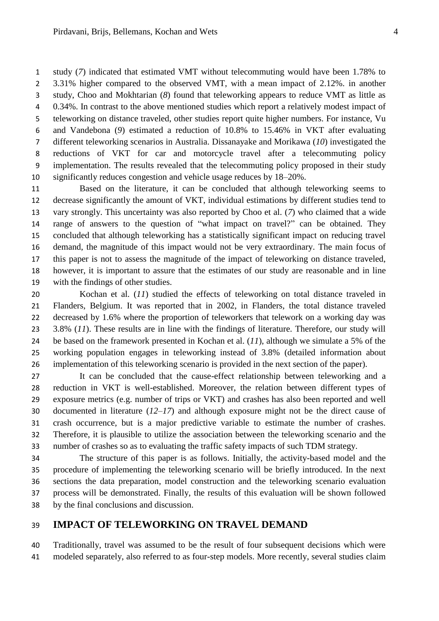study (*7*) indicated that estimated VMT without telecommuting would have been 1.78% to 3.31% higher compared to the observed VMT, with a mean impact of 2.12%. in another study, Choo and Mokhtarian (*8*) found that teleworking appears to reduce VMT as little as 0.34%. In contrast to the above mentioned studies which report a relatively modest impact of teleworking on distance traveled, other studies report quite higher numbers. For instance, Vu and Vandebona (*9*) estimated a reduction of 10.8% to 15.46% in VKT after evaluating different teleworking scenarios in Australia. Dissanayake and Morikawa (*10*) investigated the reductions of VKT for car and motorcycle travel after a telecommuting policy implementation. The results revealed that the telecommuting policy proposed in their study significantly reduces congestion and vehicle usage reduces by 18–20%.

 Based on the literature, it can be concluded that although teleworking seems to decrease significantly the amount of VKT, individual estimations by different studies tend to vary strongly. This uncertainty was also reported by Choo et al. (*7*) who claimed that a wide range of answers to the question of "what impact on travel?" can be obtained. They concluded that although teleworking has a statistically significant impact on reducing travel demand, the magnitude of this impact would not be very extraordinary. The main focus of this paper is not to assess the magnitude of the impact of teleworking on distance traveled, however, it is important to assure that the estimates of our study are reasonable and in line with the findings of other studies.

 Kochan et al. (*11*) studied the effects of teleworking on total distance traveled in Flanders, Belgium. It was reported that in 2002, in Flanders, the total distance traveled decreased by 1.6% where the proportion of teleworkers that telework on a working day was 3.8% (*11*). These results are in line with the findings of literature. Therefore, our study will be based on the framework presented in Kochan et al. (*11*), although we simulate a 5% of the working population engages in teleworking instead of 3.8% (detailed information about implementation of this teleworking scenario is provided in the next section of the paper).

 It can be concluded that the cause-effect relationship between teleworking and a reduction in VKT is well-established. Moreover, the relation between different types of exposure metrics (e.g. number of trips or VKT) and crashes has also been reported and well documented in literature (*12–17*) and although exposure might not be the direct cause of crash occurrence, but is a major predictive variable to estimate the number of crashes. Therefore, it is plausible to utilize the association between the teleworking scenario and the number of crashes so as to evaluating the traffic safety impacts of such TDM strategy.

 The structure of this paper is as follows. Initially, the activity-based model and the procedure of implementing the teleworking scenario will be briefly introduced. In the next sections the data preparation, model construction and the teleworking scenario evaluation process will be demonstrated. Finally, the results of this evaluation will be shown followed by the final conclusions and discussion.

# **IMPACT OF TELEWORKING ON TRAVEL DEMAND**

 Traditionally, travel was assumed to be the result of four subsequent decisions which were modeled separately, also referred to as four-step models. More recently, several studies claim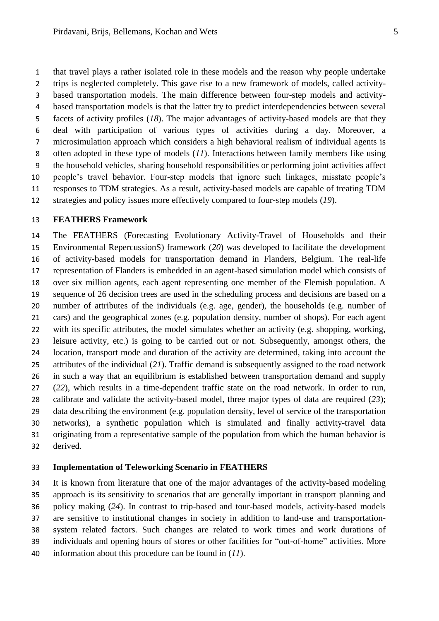that travel plays a rather isolated role in these models and the reason why people undertake trips is neglected completely. This gave rise to a new framework of models, called activity- based transportation models. The main difference between four-step models and activity- based transportation models is that the latter try to predict interdependencies between several facets of activity profiles (*18*). The major advantages of activity-based models are that they deal with participation of various types of activities during a day. Moreover, a microsimulation approach which considers a high behavioral realism of individual agents is often adopted in these type of models (*11*). Interactions between family members like using the household vehicles, sharing household responsibilities or performing joint activities affect people's travel behavior. Four-step models that ignore such linkages, misstate people's responses to TDM strategies. As a result, activity-based models are capable of treating TDM strategies and policy issues more effectively compared to four-step models (*19*).

#### **FEATHERS Framework**

 The FEATHERS (Forecasting Evolutionary Activity-Travel of Households and their Environmental RepercussionS) framework (*20*) was developed to facilitate the development of activity-based models for transportation demand in Flanders, Belgium. The real-life representation of Flanders is embedded in an agent-based simulation model which consists of over six million agents, each agent representing one member of the Flemish population. A sequence of 26 decision trees are used in the scheduling process and decisions are based on a number of attributes of the individuals (e.g. age, gender), the households (e.g. number of cars) and the geographical zones (e.g. population density, number of shops). For each agent with its specific attributes, the model simulates whether an activity (e.g. shopping, working, leisure activity, etc.) is going to be carried out or not. Subsequently, amongst others, the location, transport mode and duration of the activity are determined, taking into account the attributes of the individual (*21*). Traffic demand is subsequently assigned to the road network in such a way that an equilibrium is established between transportation demand and supply (*22*), which results in a time-dependent traffic state on the road network. In order to run, calibrate and validate the activity-based model, three major types of data are required (*23*); data describing the environment (e.g. population density, level of service of the transportation networks), a synthetic population which is simulated and finally activity-travel data originating from a representative sample of the population from which the human behavior is derived.

### **Implementation of Teleworking Scenario in FEATHERS**

 It is known from literature that one of the major advantages of the activity-based modeling approach is its sensitivity to scenarios that are generally important in transport planning and policy making (*24*). In contrast to trip-based and tour-based models, activity-based models are sensitive to institutional changes in society in addition to land-use and transportation- system related factors. Such changes are related to work times and work durations of individuals and opening hours of stores or other facilities for "out-of-home" activities. More information about this procedure can be found in (*11*).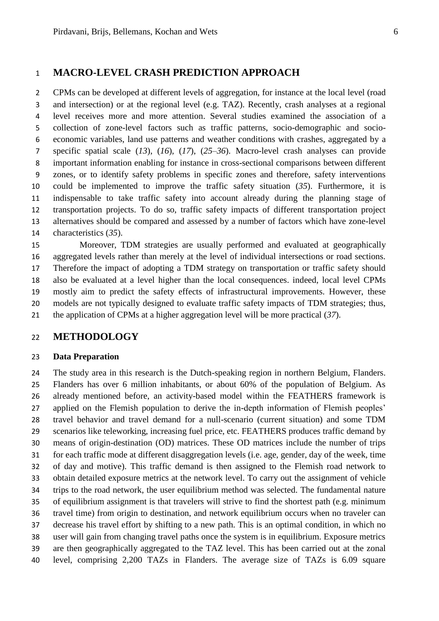# **MACRO-LEVEL CRASH PREDICTION APPROACH**

 CPMs can be developed at different levels of aggregation, for instance at the local level (road and intersection) or at the regional level (e.g. TAZ). Recently, crash analyses at a regional level receives more and more attention. Several studies examined the association of a collection of zone-level factors such as traffic patterns, socio-demographic and socio- economic variables, land use patterns and weather conditions with crashes, aggregated by a specific spatial scale (*13*), (*16*), (*17*), (*25–36*). Macro-level crash analyses can provide important information enabling for instance in cross-sectional comparisons between different zones, or to identify safety problems in specific zones and therefore, safety interventions could be implemented to improve the traffic safety situation (*35*). Furthermore, it is indispensable to take traffic safety into account already during the planning stage of transportation projects. To do so, traffic safety impacts of different transportation project alternatives should be compared and assessed by a number of factors which have zone-level characteristics (*35*).

 Moreover, TDM strategies are usually performed and evaluated at geographically aggregated levels rather than merely at the level of individual intersections or road sections. Therefore the impact of adopting a TDM strategy on transportation or traffic safety should also be evaluated at a level higher than the local consequences. indeed, local level CPMs mostly aim to predict the safety effects of infrastructural improvements. However, these models are not typically designed to evaluate traffic safety impacts of TDM strategies; thus, the application of CPMs at a higher aggregation level will be more practical (*37*).

# **METHODOLOGY**

#### **Data Preparation**

 The study area in this research is the Dutch-speaking region in northern Belgium, Flanders. Flanders has over 6 million inhabitants, or about 60% of the population of Belgium. As already mentioned before, an activity-based model within the FEATHERS framework is applied on the Flemish population to derive the in-depth information of Flemish peoples' travel behavior and travel demand for a null-scenario (current situation) and some TDM scenarios like teleworking, increasing fuel price, etc. FEATHERS produces traffic demand by means of origin-destination (OD) matrices. These OD matrices include the number of trips for each traffic mode at different disaggregation levels (i.e. age, gender, day of the week, time of day and motive). This traffic demand is then assigned to the Flemish road network to obtain detailed exposure metrics at the network level. To carry out the assignment of vehicle trips to the road network, the user equilibrium method was selected. The fundamental nature of equilibrium assignment is that travelers will strive to find the shortest path (e.g. minimum travel time) from origin to destination, and network equilibrium occurs when no traveler can decrease his travel effort by shifting to a new path. This is an optimal condition, in which no user will gain from changing travel paths once the system is in equilibrium. Exposure metrics are then geographically aggregated to the TAZ level. This has been carried out at the zonal level, comprising 2,200 TAZs in Flanders. The average size of TAZs is 6.09 square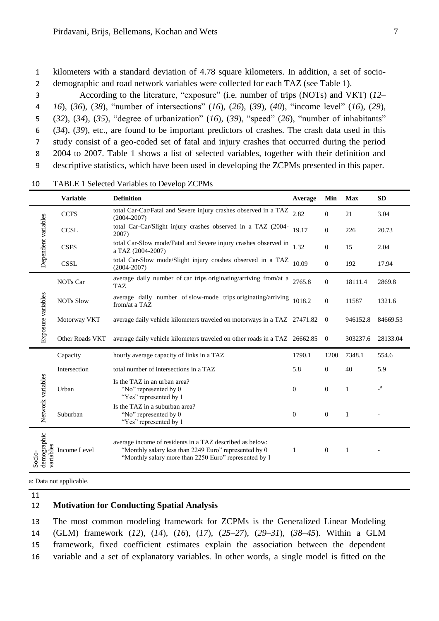1 kilometers with a standard deviation of 4.78 square kilometers. In addition, a set of socio-2 demographic and road network variables were collected for each TAZ (see Table 1).

 According to the literature, "exposure" (i.e. number of trips (NOTs) and VKT) (*12– 16*), (*36*), (*38*), "number of intersections" (*16*), (*26*), (*39*), (*40*), "income level" (*16*), (*29*), (*32*), (*34*), (*35*), "degree of urbanization" (*16*), (*39*), "speed" (*26*), "number of inhabitants" (*34*), (*39*), etc., are found to be important predictors of crashes. The crash data used in this study consist of a geo-coded set of fatal and injury crashes that occurred during the period 2004 to 2007. Table 1 shows a list of selected variables, together with their definition and descriptive statistics, which have been used in developing the ZCPMs presented in this paper.

|                                    | <b>Variable</b>                                                                                                                                                                            | <b>Definition</b>                                                                            | Average | Min              | <b>Max</b>   | <b>SD</b>              |
|------------------------------------|--------------------------------------------------------------------------------------------------------------------------------------------------------------------------------------------|----------------------------------------------------------------------------------------------|---------|------------------|--------------|------------------------|
| Dependent variables                | <b>CCFS</b>                                                                                                                                                                                | total Car-Car/Fatal and Severe injury crashes observed in a TAZ<br>2.82<br>$(2004 - 2007)$   |         | $\mathbf{0}$     | 21           | 3.04                   |
|                                    | <b>CCSL</b>                                                                                                                                                                                | total Car-Car/Slight injury crashes observed in a TAZ (2004-<br>19.17<br>2007)               |         | $\theta$         | 226          | 20.73                  |
|                                    | <b>CSFS</b>                                                                                                                                                                                | total Car-Slow mode/Fatal and Severe injury crashes observed in<br>1.32<br>a TAZ (2004-2007) |         | $\theta$         | 15           | 2.04                   |
|                                    | <b>CSSL</b>                                                                                                                                                                                | total Car-Slow mode/Slight injury crashes observed in a TAZ<br>$(2004 - 2007)$               | 10.09   | $\theta$         | 192          | 17.94                  |
| Exposure variables                 | NOTs Car                                                                                                                                                                                   | average daily number of car trips originating/arriving from/at a<br>TAZ                      |         | $\theta$         | 18111.4      | 2869.8                 |
|                                    | <b>NOTs Slow</b>                                                                                                                                                                           | average daily number of slow-mode trips originating/arriving<br>1018.2<br>from/at a TAZ      |         | $\mathbf{0}$     | 11587        | 1321.6                 |
|                                    | Motorway VKT                                                                                                                                                                               | average daily vehicle kilometers traveled on motorways in a TAZ 27471.82                     |         | $\overline{0}$   | 946152.8     | 84669.53               |
|                                    | Other Roads VKT                                                                                                                                                                            | average daily vehicle kilometers traveled on other roads in a TAZ 26662.85                   |         | $\overline{0}$   | 303237.6     | 28133.04               |
| Network variables                  | Capacity                                                                                                                                                                                   | hourly average capacity of links in a TAZ                                                    |         | 1200             | 7348.1       | 554.6                  |
|                                    | Intersection                                                                                                                                                                               | total number of intersections in a TAZ                                                       |         | $\theta$         | 40           | 5.9                    |
|                                    | Urban                                                                                                                                                                                      | Is the TAZ in an urban area?<br>"No" represented by 0<br>$\theta$<br>"Yes" represented by 1  |         | $\mathbf{0}$     | $\mathbf{1}$ | $\lbrack$ <sup>a</sup> |
|                                    | Suburban                                                                                                                                                                                   | Is the TAZ in a suburban area?<br>"No" represented by 0<br>"Yes" represented by 1            |         | $\boldsymbol{0}$ | 1            |                        |
| Socio-<br>demographic<br>variables | average income of residents in a TAZ described as below:<br>Income Level<br>"Monthly salary less than 2249 Euro" represented by 0<br>"Monthly salary more than 2250 Euro" represented by 1 |                                                                                              | 1       | $\boldsymbol{0}$ | $\mathbf{1}$ |                        |
|                                    | 11.1                                                                                                                                                                                       |                                                                                              |         |                  |              |                        |

10 TABLE 1 Selected Variables to Develop ZCPMs

a: Data not applicable.

11

#### 12 **Motivation for Conducting Spatial Analysis**

 The most common modeling framework for ZCPMs is the Generalized Linear Modeling (GLM) framework (*12*), (*14*), (*16*), (*17*), (*25–27*), (*29–31*), (*38–45*). Within a GLM framework, fixed coefficient estimates explain the association between the dependent variable and a set of explanatory variables. In other words, a single model is fitted on the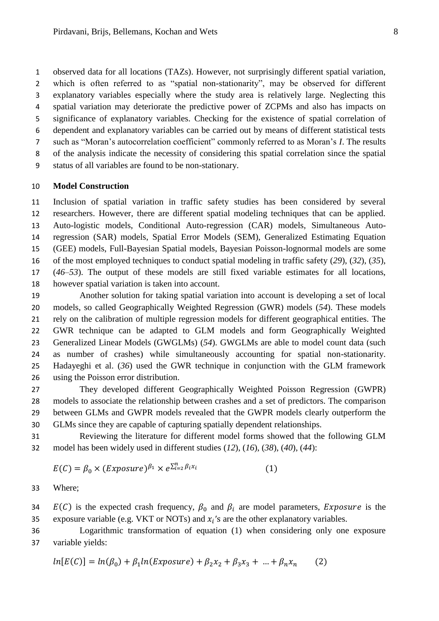observed data for all locations (TAZs). However, not surprisingly different spatial variation, which is often referred to as "spatial non-stationarity", may be observed for different explanatory variables especially where the study area is relatively large. Neglecting this spatial variation may deteriorate the predictive power of ZCPMs and also has impacts on significance of explanatory variables. Checking for the existence of spatial correlation of dependent and explanatory variables can be carried out by means of different statistical tests such as "Moran's autocorrelation coefficient" commonly referred to as Moran's *I*. The results of the analysis indicate the necessity of considering this spatial correlation since the spatial

status of all variables are found to be non-stationary.

#### **Model Construction**

 Inclusion of spatial variation in traffic safety studies has been considered by several researchers. However, there are different spatial modeling techniques that can be applied. Auto-logistic models, Conditional Auto-regression (CAR) models, Simultaneous Auto- regression (SAR) models, Spatial Error Models (SEM), Generalized Estimating Equation (GEE) models, Full-Bayesian Spatial models, Bayesian Poisson-lognormal models are some of the most employed techniques to conduct spatial modeling in traffic safety (*29*), (*32*), (*35*), (*46–53*). The output of these models are still fixed variable estimates for all locations, however spatial variation is taken into account.

 Another solution for taking spatial variation into account is developing a set of local models, so called Geographically Weighted Regression (GWR) models (*54*). These models rely on the calibration of multiple regression models for different geographical entities. The GWR technique can be adapted to GLM models and form Geographically Weighted Generalized Linear Models (GWGLMs) (*54*). GWGLMs are able to model count data (such as number of crashes) while simultaneously accounting for spatial non-stationarity. Hadayeghi et al. (*36*) used the GWR technique in conjunction with the GLM framework using the Poisson error distribution.

 They developed different Geographically Weighted Poisson Regression (GWPR) models to associate the relationship between crashes and a set of predictors. The comparison between GLMs and GWPR models revealed that the GWPR models clearly outperform the GLMs since they are capable of capturing spatially dependent relationships.

 Reviewing the literature for different model forms showed that the following GLM model has been widely used in different studies (*12*), (*16*), (*38*), (*40*), (*44*):

$$
E(C) = \beta_0 \times (Exposure)^{\beta_1} \times e^{\sum_{i=2}^{n} \beta_i x_i}
$$
 (1)

Where;

34  $E(C)$  is the expected crash frequency,  $\beta_0$  and  $\beta_i$  are model parameters, *Exposure* is the 35 exposure variable (e.g. VKT or NOTs) and  $x_i$ 's are the other explanatory variables.

 Logarithmic transformation of equation (1) when considering only one exposure variable yields:

$$
ln[E(C)] = ln(\beta_0) + \beta_1 ln(Exposure) + \beta_2 x_2 + \beta_3 x_3 + ... + \beta_n x_n
$$
 (2)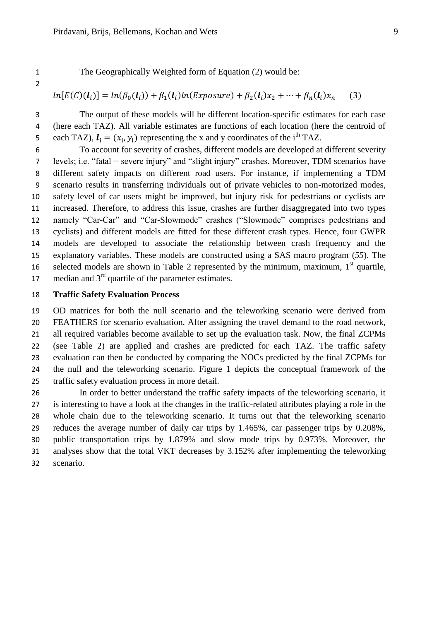The Geographically Weighted form of Equation (2) would be:

#### $\mathfrak{b}$  $\overline{\phantom{a}}$ )  $\big($  $\big)$  $\overline{\phantom{a}}$  $\mathcal{)}$

$$
n[E(C)(l_i)] = ln(\beta_0(l_i)) + \beta_1(l_i)ln(Exposure) + \beta_2(l_i)x_2 + \dots + \beta_n(l_i)x_n
$$
 (3)

 The output of these models will be different location-specific estimates for each case (here each TAZ). All variable estimates are functions of each location (here the centroid of 5 each TAZ),  $\mathbf{l}_i = (x_i, y_i)$  representing the x and y coordinates of the i<sup>th</sup> TAZ.

 To account for severity of crashes, different models are developed at different severity levels; i.e. "fatal + severe injury" and "slight injury" crashes. Moreover, TDM scenarios have different safety impacts on different road users. For instance, if implementing a TDM scenario results in transferring individuals out of private vehicles to non-motorized modes, safety level of car users might be improved, but injury risk for pedestrians or cyclists are increased. Therefore, to address this issue, crashes are further disaggregated into two types namely "Car-Car" and "Car-Slowmode" crashes ("Slowmode" comprises pedestrians and cyclists) and different models are fitted for these different crash types. Hence, four GWPR models are developed to associate the relationship between crash frequency and the explanatory variables. These models are constructed using a SAS macro program (*55*). The 16 selected models are shown in Table 2 represented by the minimum, maximum,  $1<sup>st</sup>$  quartile, 17 median and  $3<sup>rd</sup>$  quartile of the parameter estimates.

## **Traffic Safety Evaluation Process**

 OD matrices for both the null scenario and the teleworking scenario were derived from FEATHERS for scenario evaluation. After assigning the travel demand to the road network, 21 all required variables become available to set up the evaluation task. Now, the final ZCPMs (see Table 2) are applied and crashes are predicted for each TAZ. The traffic safety evaluation can then be conducted by comparing the NOCs predicted by the final ZCPMs for the null and the teleworking scenario. Figure 1 depicts the conceptual framework of the traffic safety evaluation process in more detail.

 In order to better understand the traffic safety impacts of the teleworking scenario, it is interesting to have a look at the changes in the traffic-related attributes playing a role in the whole chain due to the teleworking scenario. It turns out that the teleworking scenario reduces the average number of daily car trips by 1.465%, car passenger trips by 0.208%, public transportation trips by 1.879% and slow mode trips by 0.973%. Moreover, the analyses show that the total VKT decreases by 3.152% after implementing the teleworking scenario.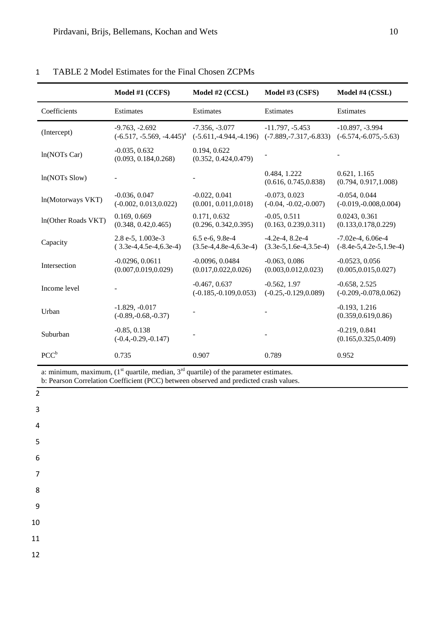|                     | Model #1 (CCFS)                                     | Model #2 (CCSL)                               | Model #3 (CSFS)                                  | Model #4 (CSSL)                                    |
|---------------------|-----------------------------------------------------|-----------------------------------------------|--------------------------------------------------|----------------------------------------------------|
| Coefficients        | Estimates                                           | Estimates                                     | Estimates                                        | Estimates                                          |
| (Intercept)         | $-9.763, -2.692$<br>$(-6.517, -5.569, -4.445)^{a}$  | $-7.356, -3.077$<br>$(-5.611,-4.944,-4.196)$  | $-11.797, -5.453$<br>$(-7.889,-7.317,-6.833)$    | $-10.897, -3.994$<br>$(-6.574,-6.075,-5.63)$       |
| ln(NOTs Car)        | $-0.035, 0.632$<br>(0.093, 0.184, 0.268)            | 0.194, 0.622<br>(0.352, 0.424, 0.479)         |                                                  |                                                    |
| $ln(NOTs$ Slow)     |                                                     |                                               | 0.484, 1.222<br>(0.616, 0.745, 0.838)            | 0.621, 1.165<br>(0.794, 0.917, 1.008)              |
| ln(Motorways VKT)   | $-0.036, 0.047$<br>$(-0.002, 0.013, 0.022)$         | $-0.022, 0.041$<br>(0.001, 0.011, 0.018)      | $-0.073, 0.023$<br>$(-0.04, -0.02, -0.007)$      | $-0.054, 0.044$<br>$(-0.019,-0.008,0.004)$         |
| In(Other Roads VKT) | 0.169, 0.669<br>(0.348, 0.42, 0.465)                | 0.171, 0.632<br>(0.296, 0.342, 0.395)         | $-0.05, 0.511$<br>(0.163, 0.239, 0.311)          | 0.0243, 0.361<br>(0.133, 0.178, 0.229)             |
| Capacity            | $2.8e-5$ , $1.003e-3$<br>$(3.3e-4, 4.5e-4, 6.3e-4)$ | 6.5 e-6, 9.8e-4<br>$(3.5e-4, 4.8e-4, 6.3e-4)$ | $-4.2e-4$ , 8.2e-4<br>$(3.3e-5, 1.6e-4, 3.5e-4)$ | $-7.02e-4, 6.06e-4$<br>$(-8.4e-5, 4.2e-5, 1.9e-4)$ |
| Intersection        | $-0.0296, 0.0611$<br>(0.007, 0.019, 0.029)          | $-0.0096, 0.0484$<br>(0.017, 0.022, 0.026)    | $-0.063, 0.086$<br>(0.003, 0.012, 0.023)         | $-0.0523, 0.056$<br>(0.005, 0.015, 0.027)          |
| Income level        |                                                     | $-0.467, 0.637$<br>$(-0.185,-0.109,0.053)$    | $-0.562, 1.97$<br>$(-0.25,-0.129,0.089)$         | $-0.658, 2.525$<br>$(-0.209,-0.078,0.062)$         |
| Urban               | $-1.829, -0.017$<br>$(-0.89,-0.68,-0.37)$           |                                               |                                                  | $-0.193, 1.216$<br>(0.359, 0.619, 0.86)            |
| Suburban            | $-0.85, 0.138$<br>$(-0.4,-0.29,-0.147)$             |                                               |                                                  | $-0.219, 0.841$<br>(0.165, 0.325, 0.409)           |
| $PCC^b$             | 0.735                                               | 0.907                                         | 0.789                                            | 0.952                                              |

## 1 TABLE 2 Model Estimates for the Final Chosen ZCPMs

a: minimum, maximum,  $(1<sup>st</sup>$  quartile, median,  $3<sup>rd</sup>$  quartile) of the parameter estimates.

b: Pearson Correlation Coefficient (PCC) between observed and predicted crash values.

| $\overline{2}$   |  |
|------------------|--|
| $\mathbf{3}$     |  |
| $\sqrt{4}$       |  |
| 5                |  |
| $\boldsymbol{6}$ |  |
| $\overline{7}$   |  |
| $\,8\,$          |  |
| $\boldsymbol{9}$ |  |
| $10\,$           |  |
| $11\,$           |  |
| 12               |  |
|                  |  |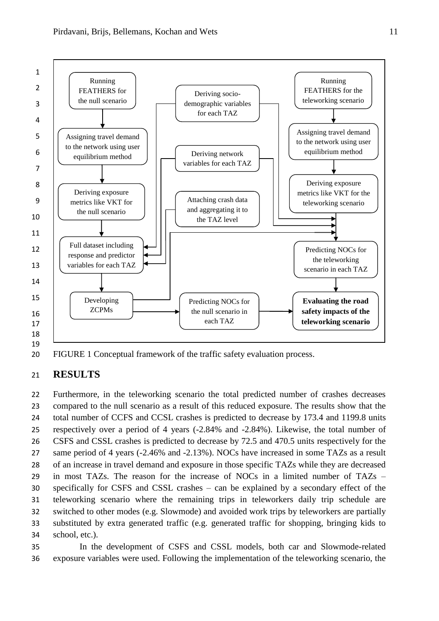

20 FIGURE 1 Conceptual framework of the traffic safety evaluation process.

# 21 **RESULTS**

 Furthermore, in the teleworking scenario the total predicted number of crashes decreases compared to the null scenario as a result of this reduced exposure. The results show that the total number of CCFS and CCSL crashes is predicted to decrease by 173.4 and 1199.8 units respectively over a period of 4 years (-2.84% and -2.84%). Likewise, the total number of CSFS and CSSL crashes is predicted to decrease by 72.5 and 470.5 units respectively for the same period of 4 years (-2.46% and -2.13%). NOCs have increased in some TAZs as a result of an increase in travel demand and exposure in those specific TAZs while they are decreased in most TAZs. The reason for the increase of NOCs in a limited number of TAZs – specifically for CSFS and CSSL crashes – can be explained by a secondary effect of the teleworking scenario where the remaining trips in teleworkers daily trip schedule are switched to other modes (e.g. Slowmode) and avoided work trips by teleworkers are partially substituted by extra generated traffic (e.g. generated traffic for shopping, bringing kids to school, etc.).

35 In the development of CSFS and CSSL models, both car and Slowmode-related 36 exposure variables were used. Following the implementation of the teleworking scenario, the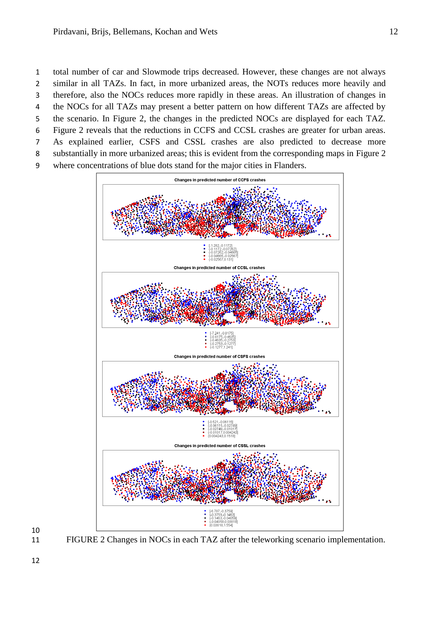- the NOCs for all TAZs may present a better pattern on how different TAZs are affected by
- the scenario. In Figure 2, the changes in the predicted NOCs are displayed for each TAZ.
- Figure 2 reveals that the reductions in CCFS and CCSL crashes are greater for urban areas.
- As explained earlier, CSFS and CSSL crashes are also predicted to decrease more
- substantially in more urbanized areas; this is evident from the corresponding maps in Figure 2 where concentrations of blue dots stand for the major cities in Flanders.
	- Changes in predicted number of CCFS crashes Changes in predicted number of CCSL crashes Changes in predicted number of CSFS crashe Changes in predicted number of CSSL crashes

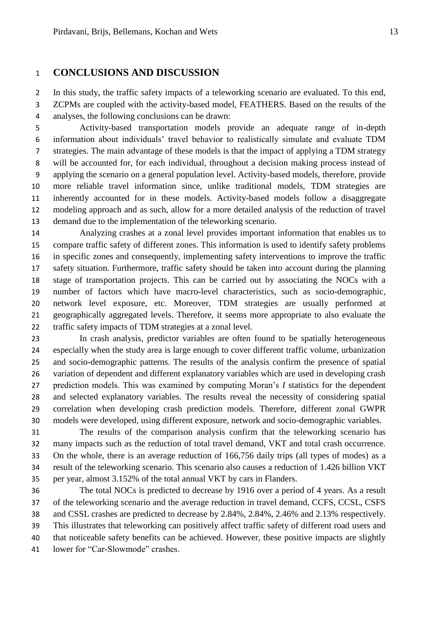# **CONCLUSIONS AND DISCUSSION**

 In this study, the traffic safety impacts of a teleworking scenario are evaluated. To this end, ZCPMs are coupled with the activity-based model, FEATHERS. Based on the results of the analyses, the following conclusions can be drawn:

 Activity-based transportation models provide an adequate range of in-depth information about individuals' travel behavior to realistically simulate and evaluate TDM strategies. The main advantage of these models is that the impact of applying a TDM strategy will be accounted for, for each individual, throughout a decision making process instead of applying the scenario on a general population level. Activity-based models, therefore, provide more reliable travel information since, unlike traditional models, TDM strategies are inherently accounted for in these models. Activity-based models follow a disaggregate modeling approach and as such, allow for a more detailed analysis of the reduction of travel demand due to the implementation of the teleworking scenario.

 Analyzing crashes at a zonal level provides important information that enables us to compare traffic safety of different zones. This information is used to identify safety problems in specific zones and consequently, implementing safety interventions to improve the traffic safety situation. Furthermore, traffic safety should be taken into account during the planning stage of transportation projects. This can be carried out by associating the NOCs with a number of factors which have macro-level characteristics, such as socio-demographic, network level exposure, etc. Moreover, TDM strategies are usually performed at geographically aggregated levels. Therefore, it seems more appropriate to also evaluate the traffic safety impacts of TDM strategies at a zonal level.

 In crash analysis, predictor variables are often found to be spatially heterogeneous especially when the study area is large enough to cover different traffic volume, urbanization and socio-demographic patterns. The results of the analysis confirm the presence of spatial variation of dependent and different explanatory variables which are used in developing crash prediction models. This was examined by computing Moran's *I* statistics for the dependent and selected explanatory variables. The results reveal the necessity of considering spatial correlation when developing crash prediction models. Therefore, different zonal GWPR models were developed, using different exposure, network and socio-demographic variables.

 The results of the comparison analysis confirm that the teleworking scenario has many impacts such as the reduction of total travel demand, VKT and total crash occurrence. On the whole, there is an average reduction of 166,756 daily trips (all types of modes) as a result of the teleworking scenario. This scenario also causes a reduction of 1.426 billion VKT per year, almost 3.152% of the total annual VKT by cars in Flanders.

 The total NOCs is predicted to decrease by 1916 over a period of 4 years. As a result of the teleworking scenario and the average reduction in travel demand, CCFS, CCSL, CSFS and CSSL crashes are predicted to decrease by 2.84%, 2.84%, 2.46% and 2.13% respectively. This illustrates that teleworking can positively affect traffic safety of different road users and that noticeable safety benefits can be achieved. However, these positive impacts are slightly lower for "Car-Slowmode" crashes.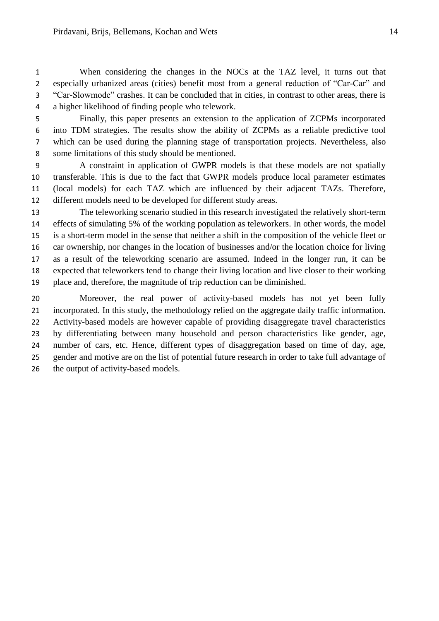When considering the changes in the NOCs at the TAZ level, it turns out that especially urbanized areas (cities) benefit most from a general reduction of "Car-Car" and "Car-Slowmode" crashes. It can be concluded that in cities, in contrast to other areas, there is a higher likelihood of finding people who telework.

- Finally, this paper presents an extension to the application of ZCPMs incorporated into TDM strategies. The results show the ability of ZCPMs as a reliable predictive tool which can be used during the planning stage of transportation projects. Nevertheless, also some limitations of this study should be mentioned.
- A constraint in application of GWPR models is that these models are not spatially transferable. This is due to the fact that GWPR models produce local parameter estimates (local models) for each TAZ which are influenced by their adjacent TAZs. Therefore, different models need to be developed for different study areas.
- The teleworking scenario studied in this research investigated the relatively short-term effects of simulating 5% of the working population as teleworkers. In other words, the model is a short-term model in the sense that neither a shift in the composition of the vehicle fleet or car ownership, nor changes in the location of businesses and/or the location choice for living as a result of the teleworking scenario are assumed. Indeed in the longer run, it can be expected that teleworkers tend to change their living location and live closer to their working place and, therefore, the magnitude of trip reduction can be diminished.
- Moreover, the real power of activity-based models has not yet been fully incorporated. In this study, the methodology relied on the aggregate daily traffic information. Activity-based models are however capable of providing disaggregate travel characteristics by differentiating between many household and person characteristics like gender, age, number of cars, etc. Hence, different types of disaggregation based on time of day, age, gender and motive are on the list of potential future research in order to take full advantage of 26 the output of activity-based models.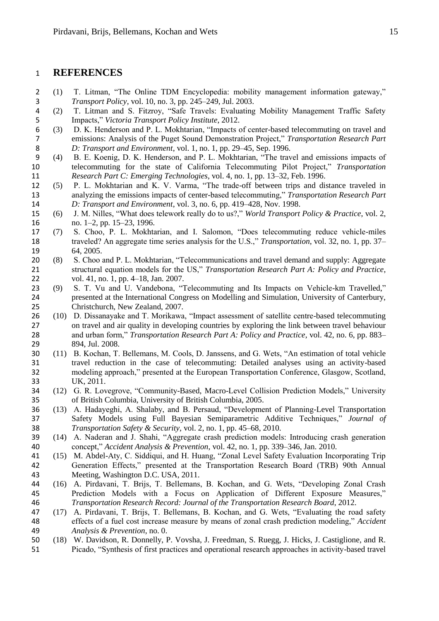# **REFERENCES**

- 2 (1) T. Litman, "The Online TDM Encyclopedia: mobility management information gateway,"<br>3 Transport Policy, vol. 10, no. 3, pp. 245–249, Jul. 2003. *Transport Policy*, vol. 10, no. 3, pp. 245–249, Jul. 2003.
- T. Litman and S. Fitzroy, "Safe Travels: Evaluating Mobility Management Traffic Safety Impacts," *Victoria Transport Policy Institute*, 2012.
- (3) D. K. Henderson and P. L. Mokhtarian, "Impacts of center-based telecommuting on travel and emissions: Analysis of the Puget Sound Demonstration Project," *Transportation Research Part*  8 *D: Transport and Environment*, vol. 1, no. 1, pp. 29–45, Sep. 1996.<br>9 (4) B. E. Koenig, D. K. Henderson, and P. L. Mokhtarian, "The trav
- (4) B. E. Koenig, D. K. Henderson, and P. L. Mokhtarian, "The travel and emissions impacts of telecommuting for the state of California Telecommuting Pilot Project," *Transportation Research Part C: Emerging Technologies*, vol. 4, no. 1, pp. 13–32, Feb. 1996.
- (5) P. L. Mokhtarian and K. V. Varma, "The trade-off between trips and distance traveled in analyzing the emissions impacts of center-based telecommuting," *Transportation Research Part D: Transport and Environment*, vol. 3, no. 6, pp. 419–428, Nov. 1998.
- (6) J. M. Nilles, "What does telework really do to us?," *World Transport Policy & Practice*, vol. 2, 16 no. 1–2, pp. 15–23, 1996.<br>17 (7) S. Choo, P. L. Mokhta
- (7) S. Choo, P. L. Mokhtarian, and I. Salomon, "Does telecommuting reduce vehicle-miles traveled? An aggregate time series analysis for the U.S.," *Transportation*, vol. 32, no. 1, pp. 37– 64, 2005.
- (8) S. Choo and P. L. Mokhtarian, "Telecommunications and travel demand and supply: Aggregate structural equation models for the US," *Transportation Research Part A: Policy and Practice*, 22 vol. 41, no. 1, pp. 4–18, Jan. 2007.<br>23 (9) S. T. Vu and U. Vandebona, "T
- (9) S. T. Vu and U. Vandebona, "Telecommuting and Its Impacts on Vehicle-km Travelled," presented at the International Congress on Modelling and Simulation, University of Canterbury, Christchurch, New Zealand, 2007.
- (10) D. Dissanayake and T. Morikawa, "Impact assessment of satellite centre-based telecommuting on travel and air quality in developing countries by exploring the link between travel behaviour and urban form," *Transportation Research Part A: Policy and Practice*, vol. 42, no. 6, pp. 883– 894, Jul. 2008.
- (11) B. Kochan, T. Bellemans, M. Cools, D. Janssens, and G. Wets, "An estimation of total vehicle travel reduction in the case of telecommuting: Detailed analyses using an activity-based modeling approach," presented at the European Transportation Conference, Glasgow, Scotland, UK, 2011.
- (12) G. R. Lovegrove, "Community-Based, Macro-Level Collision Prediction Models," University of British Columbia, University of British Columbia, 2005.
- (13) A. Hadayeghi, A. Shalaby, and B. Persaud, "Development of Planning-Level Transportation Safety Models using Full Bayesian Semiparametric Additive Techniques," *Journal of Transportation Safety & Security*, vol. 2, no. 1, pp. 45–68, 2010.
- (14) A. Naderan and J. Shahi, "Aggregate crash prediction models: Introducing crash generation concept," *Accident Analysis & Prevention*, vol. 42, no. 1, pp. 339–346, Jan. 2010.
- (15) M. Abdel-Aty, C. Siddiqui, and H. Huang, "Zonal Level Safety Evaluation Incorporating Trip Generation Effects," presented at the Transportation Research Board (TRB) 90th Annual Meeting, Washington D.C. USA, 2011.
- (16) A. Pirdavani, T. Brijs, T. Bellemans, B. Kochan, and G. Wets, "Developing Zonal Crash Prediction Models with a Focus on Application of Different Exposure Measures," *Transportation Research Record: Journal of the Transportation Research Board*, 2012.
- (17) A. Pirdavani, T. Brijs, T. Bellemans, B. Kochan, and G. Wets, "Evaluating the road safety effects of a fuel cost increase measure by means of zonal crash prediction modeling," *Accident Analysis & Prevention*, no. 0.
- (18) W. Davidson, R. Donnelly, P. Vovsha, J. Freedman, S. Ruegg, J. Hicks, J. Castiglione, and R. Picado, "Synthesis of first practices and operational research approaches in activity-based travel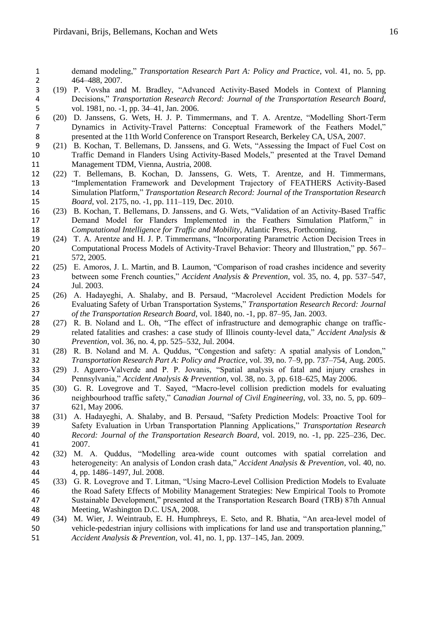demand modeling," *Transportation Research Part A: Policy and Practice*, vol. 41, no. 5, pp. 2 464–488, 2007.<br>3 (19) P. Vovsha and

- (19) P. Vovsha and M. Bradley, "Advanced Activity-Based Models in Context of Planning 4 Decisions," *Transportation Research Record: Journal of the Transportation Research Board*, vol. 1981, no. -1, pp. 34–41, Jan. 2006. vol. 1981, no. -1, pp. 34–41, Jan. 2006.
- (20) D. Janssens, G. Wets, H. J. P. Timmermans, and T. A. Arentze, "Modelling Short-Term Dynamics in Activity-Travel Patterns: Conceptual Framework of the Feathers Model," 8 presented at the 11th World Conference on Transport Research, Berkeley CA, USA, 2007.<br>
9 (21) B. Kochan, T. Bellemans, D. Janssens, and G. Wets, "Assessing the Impact of Fuel Co
- (21) B. Kochan, T. Bellemans, D. Janssens, and G. Wets, "Assessing the Impact of Fuel Cost on Traffic Demand in Flanders Using Activity-Based Models," presented at the Travel Demand Management TDM, Vienna, Austria, 2008.
- (22) T. Bellemans, B. Kochan, D. Janssens, G. Wets, T. Arentze, and H. Timmermans, "Implementation Framework and Development Trajectory of FEATHERS Activity-Based Simulation Platform," *Transportation Research Record: Journal of the Transportation Research Board*, vol. 2175, no. -1, pp. 111–119, Dec. 2010.
- (23) B. Kochan, T. Bellemans, D. Janssens, and G. Wets, "Validation of an Activity-Based Traffic Demand Model for Flanders Implemented in the Feathers Simulation Platform," in *Computational Intelligence for Traffic and Mobility*, Atlantic Press, Forthcoming.
- (24) T. A. Arentze and H. J. P. Timmermans, "Incorporating Parametric Action Decision Trees in Computational Process Models of Activity-Travel Behavior: Theory and Illustration," pp. 567– 572, 2005.
- (25) E. Amoros, J. L. Martin, and B. Laumon, "Comparison of road crashes incidence and severity between some French counties," *Accident Analysis & Prevention*, vol. 35, no. 4, pp. 537–547, Jul. 2003.
- (26) A. Hadayeghi, A. Shalaby, and B. Persaud, "Macrolevel Accident Prediction Models for Evaluating Safety of Urban Transportation Systems," *Transportation Research Record: Journal of the Transportation Research Board*, vol. 1840, no. -1, pp. 87–95, Jan. 2003.
- (27) R. B. Noland and L. Oh, "The effect of infrastructure and demographic change on traffic- related fatalities and crashes: a case study of Illinois county-level data," *Accident Analysis & Prevention*, vol. 36, no. 4, pp. 525–532, Jul. 2004.
- (28) R. B. Noland and M. A. Quddus, "Congestion and safety: A spatial analysis of London," *Transportation Research Part A: Policy and Practice*, vol. 39, no. 7–9, pp. 737–754, Aug. 2005.
- (29) J. Aguero-Valverde and P. P. Jovanis, "Spatial analysis of fatal and injury crashes in Pennsylvania," *Accident Analysis & Prevention*, vol. 38, no. 3, pp. 618–625, May 2006.
- (30) G. R. Lovegrove and T. Sayed, "Macro-level collision prediction models for evaluating neighbourhood traffic safety," *Canadian Journal of Civil Engineering*, vol. 33, no. 5, pp. 609– 621, May 2006.
- (31) A. Hadayeghi, A. Shalaby, and B. Persaud, "Safety Prediction Models: Proactive Tool for Safety Evaluation in Urban Transportation Planning Applications," *Transportation Research Record: Journal of the Transportation Research Board*, vol. 2019, no. -1, pp. 225–236, Dec. 2007.
- (32) M. A. Quddus, "Modelling area-wide count outcomes with spatial correlation and heterogeneity: An analysis of London crash data," *Accident Analysis & Prevention*, vol. 40, no. 4, pp. 1486–1497, Jul. 2008.
- (33) G. R. Lovegrove and T. Litman, "Using Macro-Level Collision Prediction Models to Evaluate the Road Safety Effects of Mobility Management Strategies: New Empirical Tools to Promote Sustainable Development," presented at the Transportation Research Board (TRB) 87th Annual Meeting, Washington D.C. USA, 2008.
- (34) M. Wier, J. Weintraub, E. H. Humphreys, E. Seto, and R. Bhatia, "An area-level model of vehicle-pedestrian injury collisions with implications for land use and transportation planning," *Accident Analysis & Prevention*, vol. 41, no. 1, pp. 137–145, Jan. 2009.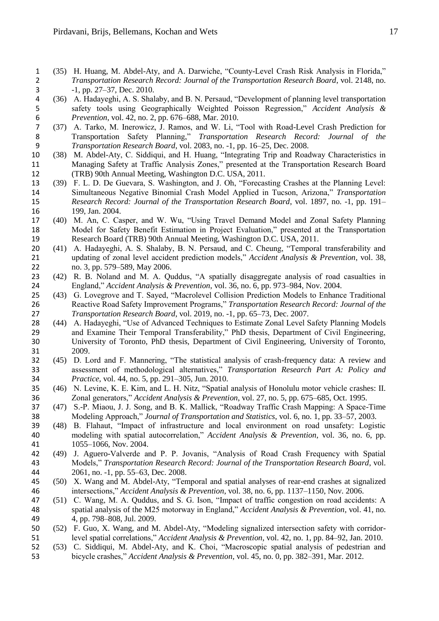- 1 (35) H. Huang, M. Abdel-Aty, and A. Darwiche, "County-Level Crash Risk Analysis in Florida,"<br>2 Transportation Research Record: Journal of the Transportation Research Board, vol. 2148, no. *Transportation Research Record: Journal of the Transportation Research Board*, vol. 2148, no. -1, pp. 27–37, Dec. 2010.
- 4 (36) A. Hadayeghi, A. S. Shalaby, and B. N. Persaud, "Development of planning level transportation safety tools using Geographically Weighted Poisson Regression," Accident Analysis & safety tools using Geographically Weighted Poisson Regression," *Accident Analysis & Prevention*, vol. 42, no. 2, pp. 676–688, Mar. 2010.
- (37) A. Tarko, M. Inerowicz, J. Ramos, and W. Li, "Tool with Road-Level Crash Prediction for Transportation Safety Planning," *Transportation Research Record: Journal of the Transportation Research Board*, vol. 2083, no. -1, pp. 16–25, Dec. 2008.
- (38) M. Abdel-Aty, C. Siddiqui, and H. Huang, "Integrating Trip and Roadway Characteristics in Managing Safety at Traffic Analysis Zones," presented at the Transportation Research Board (TRB) 90th Annual Meeting, Washington D.C. USA, 2011.
- (39) F. L. D. De Guevara, S. Washington, and J. Oh, "Forecasting Crashes at the Planning Level: Simultaneous Negative Binomial Crash Model Applied in Tucson, Arizona," *Transportation Research Record: Journal of the Transportation Research Board*, vol. 1897, no. -1, pp. 191– 16 199, Jan. 2004.
- (40) M. An, C. Casper, and W. Wu, "Using Travel Demand Model and Zonal Safety Planning Model for Safety Benefit Estimation in Project Evaluation," presented at the Transportation Research Board (TRB) 90th Annual Meeting, Washington D.C. USA, 2011.
- (41) A. Hadayeghi, A. S. Shalaby, B. N. Persaud, and C. Cheung, "Temporal transferability and updating of zonal level accident prediction models," *Accident Analysis & Prevention*, vol. 38, no. 3, pp. 579–589, May 2006.
- 23 (42) R. B. Noland and M. A. Quddus, "A spatially disaggregate analysis of road casualties in England," *Accident Analysis & Prevention*, vol. 36, no. 6, pp. 973–984, Nov. 2004. England," *Accident Analysis & Prevention*, vol. 36, no. 6, pp. 973–984, Nov. 2004.
- (43) G. Lovegrove and T. Sayed, "Macrolevel Collision Prediction Models to Enhance Traditional Reactive Road Safety Improvement Programs," *Transportation Research Record: Journal of the Transportation Research Board*, vol. 2019, no. -1, pp. 65–73, Dec. 2007.
- (44) A. Hadayeghi, "Use of Advanced Techniques to Estimate Zonal Level Safety Planning Models and Examine Their Temporal Transferability," PhD thesis, Department of Civil Engineering, University of Toronto, PhD thesis, Department of Civil Engineering, University of Toronto, 2009.
- (45) D. Lord and F. Mannering, "The statistical analysis of crash-frequency data: A review and assessment of methodological alternatives," *Transportation Research Part A: Policy and Practice*, vol. 44, no. 5, pp. 291–305, Jun. 2010.
- (46) N. Levine, K. E. Kim, and L. H. Nitz, "Spatial analysis of Honolulu motor vehicle crashes: II. Zonal generators," *Accident Analysis & Prevention*, vol. 27, no. 5, pp. 675–685, Oct. 1995.
- (47) S.-P. Miaou, J. J. Song, and B. K. Mallick, "Roadway Traffic Crash Mapping: A Space-Time Modeling Approach," *Journal of Transportation and Statistics*, vol. 6, no. 1, pp. 33–57, 2003.
- (48) B. Flahaut, "Impact of infrastructure and local environment on road unsafety: Logistic modeling with spatial autocorrelation," *Accident Analysis & Prevention*, vol. 36, no. 6, pp. 1055–1066, Nov. 2004.
- (49) J. Aguero-Valverde and P. P. Jovanis, "Analysis of Road Crash Frequency with Spatial Models," *Transportation Research Record: Journal of the Transportation Research Board*, vol. 2061, no. -1, pp. 55–63, Dec. 2008.
- (50) X. Wang and M. Abdel-Aty, "Temporal and spatial analyses of rear-end crashes at signalized intersections," *Accident Analysis & Prevention*, vol. 38, no. 6, pp. 1137–1150, Nov. 2006.
- (51) C. Wang, M. A. Quddus, and S. G. Ison, "Impact of traffic congestion on road accidents: A spatial analysis of the M25 motorway in England," *Accident Analysis & Prevention*, vol. 41, no. 4, pp. 798–808, Jul. 2009.
- (52) F. Guo, X. Wang, and M. Abdel-Aty, "Modeling signalized intersection safety with corridor-level spatial correlations," *Accident Analysis & Prevention*, vol. 42, no. 1, pp. 84–92, Jan. 2010.
- (53) C. Siddiqui, M. Abdel-Aty, and K. Choi, "Macroscopic spatial analysis of pedestrian and bicycle crashes," *Accident Analysis & Prevention*, vol. 45, no. 0, pp. 382–391, Mar. 2012.